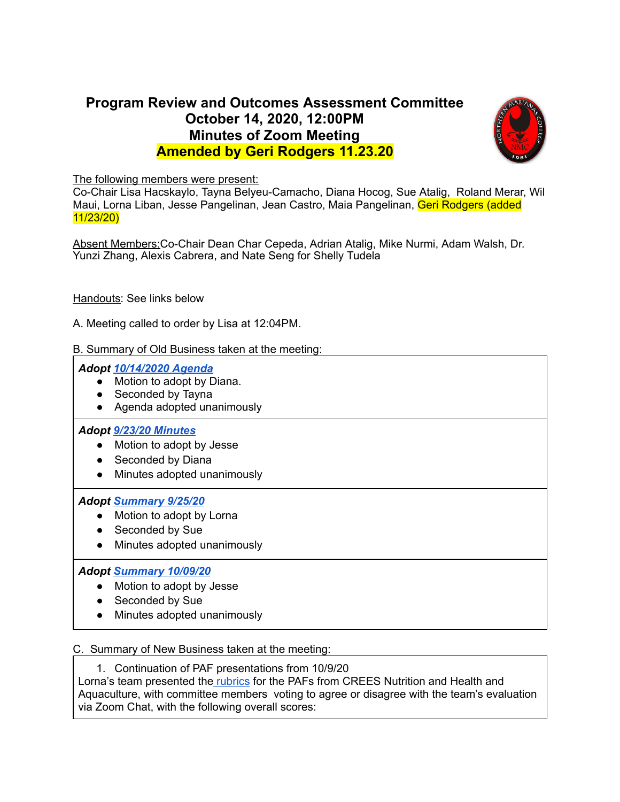# **Program Review and Outcomes Assessment Committee October 14, 2020, 12:00PM Minutes of Zoom Meeting Amended by Geri Rodgers 11.23.20**



The following members were present:

Co-Chair Lisa Hacskaylo, Tayna Belyeu-Camacho, Diana Hocog, Sue Atalig, Roland Merar, Wil Maui, Lorna Liban, Jesse Pangelinan, Jean Castro, Maia Pangelinan, Geri Rodgers (added 11/23/20)

Absent Members:Co-Chair Dean Char Cepeda, Adrian Atalig, Mike Nurmi, Adam Walsh, Dr. Yunzi Zhang, Alexis Cabrera, and Nate Seng for Shelly Tudela

Handouts: See links below

A. Meeting called to order by Lisa at 12:04PM.

### B. Summary of Old Business taken at the meeting:

## *Adopt [10/14/2020](https://docs.google.com/document/d/1NVOdvsmiO36SBtqFyHv5FUb5bNTK8A6rVsyA8vmhlVQ/edit) Agenda*

- Motion to adopt by Diana.
- Seconded by Tayna
- Agenda adopted unanimously

## *Adopt 9/23/20 [Minutes](https://docs.google.com/document/d/1jakcF-PKy1ySO4D-_lHQ7ghDArGlCrc9EpMan2jhLmo/edit)*

- Motion to adopt by Jesse
- Seconded by Diana
- Minutes adopted unanimously

### *Adopt [Summary](https://docs.google.com/document/d/1JbI6bELrcYdoKMXkVrNl97q9rE3jXTJKF0H8QQj1ln4/edit?usp=sharing) 9/25/20*

- Motion to adopt by Lorna
- Seconded by Sue
- Minutes adopted unanimously

## *Adopt [Summary](https://docs.google.com/document/d/1ARoDerXSUaEhkEU8VZ5_yZr41_x8xY3g0w0qMyIdD3Y/edit?usp=sharing) 10/09/20*

- Motion to adopt by Jesse
- Seconded by Sue
- Minutes adopted unanimously

### C. Summary of New Business taken at the meeting:

1. Continuation of PAF presentations from 10/9/20

Lorna's team presented the [rubrics](https://docs.google.com/presentation/d/1p7X1ilhdFCrABHSHr9-U0fLl5ZlU7OtlzXQYrlXad1w/edit) for the PAFs from CREES Nutrition and Health and Aquaculture, with committee members voting to agree or disagree with the team's evaluation via Zoom Chat, with the following overall scores: